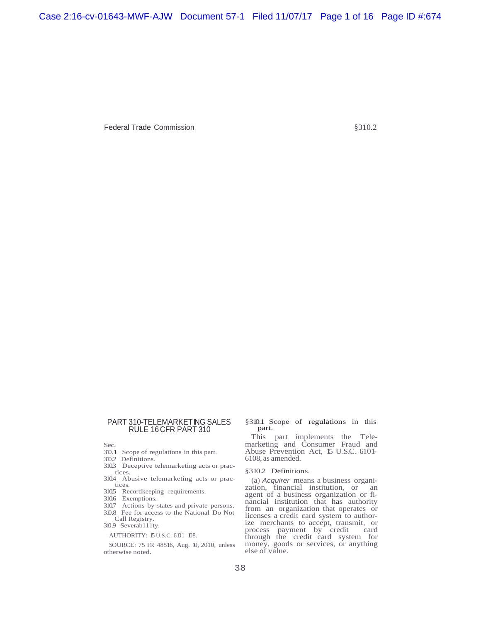Case 2:16-cv-01643-MWF-AJW Document 57-1 Filed 11/07/17 Page 1 of 16 Page ID #:674

Federal Trade Commission **Example 2018** 8310.2

## PART 310-TELEMARKET ING SALES RULE 16 CFR PART 310

Sec.

310.1 Scope of regulations in this part.

310.2 Definitions.

- 310.3 Deceptive telemarketing acts or practices.
- 310.4 Abusive telemarketing acts or practices.
- 3105 Recordkeeping requirements.
- 310.6 Exemptions.
- 310.7 Actions by states and private persons.
- 310.8 Fee for access to the National Do Not Call Registry.

310.9 Severab111ty.

#### AUTHORITY: 15 U.S.C. 6101 108.

 SOURCE: 75 FR 48516, Aug. 10, 2010, unless otherwise noted.

#### §310.1 Scope of regulations in this part.

This part implements the Tele- marketing and Consumer Fraud and Abuse Prevention Act, 15 U.S.C. 6101- 6108, as amended.

## §310.2 Definitions.

(a) *Acquirer* means a business organization, financial institution, or an agent of a business organization or financial institution that has authority nancial institution that has authority<br>from an organization that operates or<br>licenses a credit card system to authorize merchants to accept, transmit, or process payment by credit card through the credit card system for money, goods or services, or anything else of value.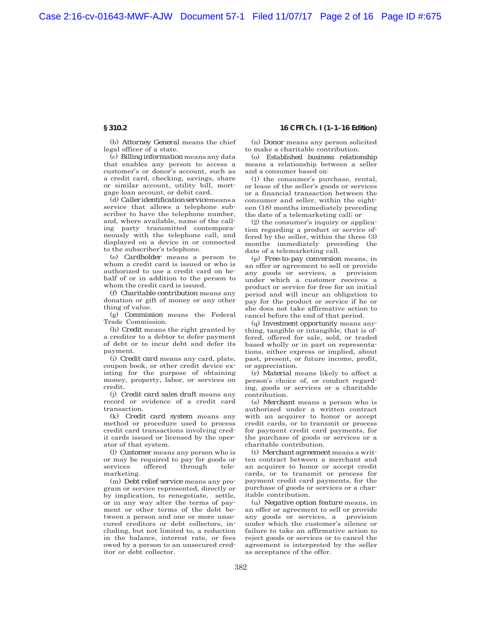(b) *Attorney General* means the chief legal officer of a state.

(c) *Billing information* means any data that enables any person to access a customer's or donor's account, such as a credit card, checking, savings, share or similar account, utility bill, mortgage loan account, or debit card.

(d) *Caller identification service* means a service that allows a telephone subscriber to have the telephone number, and, where available, name of the calling party transmitted contemporaneously with the telephone call, and displayed on a device in or connected to the subscriber's telephone.

 half of or in addition to the person to (e) *Cardholder* means a person to whom a credit card is issued or who is authorized to use a credit card on bewhom the credit card is issued.

(f) *Charitable contribution* means any donation or gift of money or any other thing of value.

(g) *Commission* means the Federal Trade Commission.

(h) *Credit* means the right granted by a creditor to a debtor to defer payment of debt or to incur debt and defer its payment.

(i) *Credit card* means any card, plate, coupon book, or other credit device existing for the purpose of obtaining money, property, labor, or services on credit.

(j) *Credit card sales draft* means any record or evidence of a credit card transaction.

 method or procedure used to process (k) *Credit card system* means any credit card transactions involving credit cards issued or licensed by the operator of that system.

 (l) *Customer* means any person who is or may be required to pay for goods or<br>services offered through telethrough marketing.

(m) *Debt relief service* means any program or service represented, directly or by implication, to renegotiate, settle, or in any way alter the terms of payment or other terms of the debt between a person and one or more unsecured creditors or debt collectors, including, but not limited to, a reduction in the balance, interest rate, or fees owed by a person to an unsecured creditor or debt collector.

# **16 CFR Ch. I (1–1–16 Edition)**

(n) *Donor* means any person solicited to make a charitable contribution.

(o) *Established business relationship*  means a relationship between a seller and a consumer based on:

 consumer and seller, within the eight-(1) the consumer's purchase, rental, or lease of the seller's goods or services or a financial transaction between the een (18) months immediately preceding the date of a telemarketing call; or

(2) the consumer's inquiry or application regarding a product or service offered by the seller, within the three (3) months immediately preceding the date of a telemarketing call.

(p) *Free-to-pay conversion* means, in an offer or agreement to sell or provide any goods or services, a provision under which a customer receives a product or service for free for an initial period and will incur an obligation to pay for the product or service if he or she does not take affirmative action to cancel before the end of that period.

(q) *Investment opportunity* means anything, tangible or intangible, that is offered, offered for sale, sold, or traded based wholly or in part on representations, either express or implied, about past, present, or future income, profit, or appreciation.

 ing, goods or services or a charitable (r) *Material* means likely to affect a person's choice of, or conduct regardcontribution.

(s) *Merchant* means a person who is authorized under a written contract with an acquirer to honor or accept credit cards, or to transmit or process for payment credit card payments, for the purchase of goods or services or a charitable contribution.

(t) *Merchant agreement* means a written contract between a merchant and an acquirer to honor or accept credit cards, or to transmit or process for payment credit card payments, for the purchase of goods or services or a charitable contribution.

(u) *Negative option feature* means, in an offer or agreement to sell or provide any goods or services, a provision under which the customer's silence or failure to take an affirmative action to reject goods or services or to cancel the agreement is interpreted by the seller as acceptance of the offer.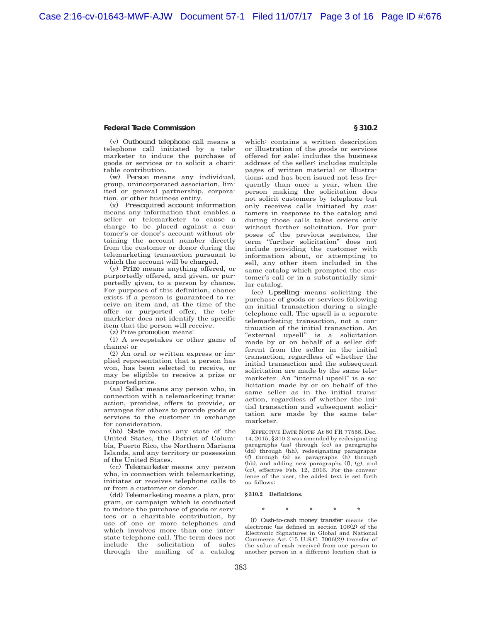(v) *Outbound telephone call* means a telephone call initiated by a telemarketer to induce the purchase of goods or services or to solicit a charitable contribution.

(w) *Person* means any individual, group, unincorporated association, limited or general partnership, corporation, or other business entity.

(x) *Preacquired account information* means any information that enables a seller or telemarketer to cause a charge to be placed against a customer's or donor's account without obtaining the account number directly from the customer or donor during the telemarketing transaction pursuant to which the account will be charged.

(y) *Prize* means anything offered, or purportedly offered, and given, or purportedly given, to a person by chance. For purposes of this definition, chance exists if a person is guaranteed to receive an item and, at the time of the offer or purported offer, the telemarketer does not identify the specific item that the person will receive.

(z) *Prize promotion* means:

(1) A sweepstakes or other game of chance; or

(2) An oral or written express or implied representation that a person has won, has been selected to receive, or may be eligible to receive a prize or purported prize.

(aa) *Seller* means any person who, in connection with a telemarketing transaction, provides, offers to provide, or arranges for others to provide goods or services to the customer in exchange for consideration.

 of the United States. (bb) *State* means any state of the United States, the District of Columbia, Puerto Rico, the Northern Mariana Islands, and any territory or possession

(cc) *Telemarketer* means any person who, in connection with telemarketing, initiates or receives telephone calls to or from a customer or donor.

 through the mailing of a catalog (dd) *Telemarketing* means a plan, program, or campaign which is conducted to induce the purchase of goods or services or a charitable contribution, by use of one or more telephones and which involves more than one interstate telephone call. The term does not include the solicitation of sales

which: contains a written description or illustration of the goods or services offered for sale; includes the business address of the seller; includes multiple pages of written material or illustrations; and has been issued not less frequently than once a year, when the person making the solicitation does not solicit customers by telephone but only receives calls initiated by customers in response to the catalog and during those calls takes orders only without further solicitation. For purposes of the previous sentence, the term "further solicitation" does not include providing the customer with information about, or attempting to sell, any other item included in the same catalog which prompted the customer's call or in a substantially similar catalog.

 tation are made by the same tele-(ee) *Upselling* means soliciting the purchase of goods or services following an initial transaction during a single telephone call. The upsell is a separate telemarketing transaction, not a continuation of the initial transaction. An "external upsell" is a solicitation made by or on behalf of a seller different from the seller in the initial transaction, regardless of whether the initial transaction and the subsequent solicitation are made by the same telemarketer. An ''internal upsell'' is a solicitation made by or on behalf of the same seller as in the initial transaction, regardless of whether the initial transaction and subsequent solicimarketer.

 (dd) through (hh), redesignating paragraphs (f) through (z) as paragraphs (h) through EFFECTIVE DATE NOTE: At 80 FR 77558, Dec. 14, 2015, § 310.2 was amended by redesignating paragraphs (aa) through (ee) as paragraphs (bb), and adding new paragraphs (f), (g), and (cc), effective Feb. 12, 2016. For the convenience of the user, the added text is set forth as follows:

#### **§ 310.2 Definitions.**

## \* \* \* \* \*

 Commerce Act (15 U.S.C. 7006(2)) transfer of (f) *Cash-to-cash money transfer* means the electronic (as defined in section 106(2) of the Electronic Signatures in Global and National the value of cash received from one person to another person in a different location that is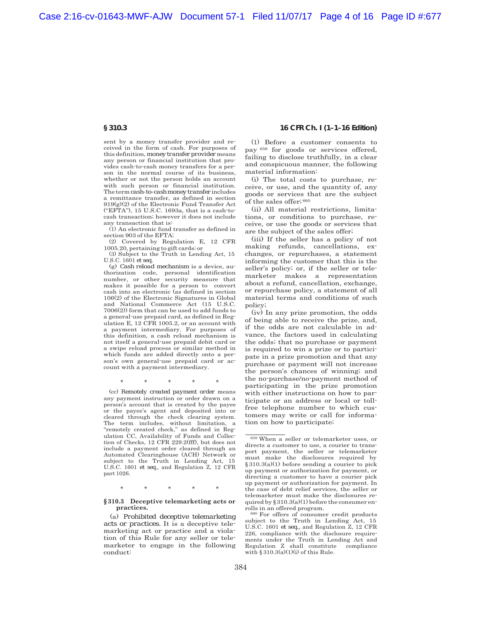sent by a money transfer provider and received in the form of cash. For purposes of this definition, *money transfer provider* means any person or financial institution that provides cash-to-cash money transfers for a person in the normal course of its business, whether or not the person holds an account with such person or financial institution. The term *cash-to-cash money transfer* includes a remittance transfer, as defined in section  $919(g)(2)$  of the Electronic Fund Transfer Act ("EFTA"), 15 U.S.C. 1693a, that is a cash-tocash transaction; however it does not include any transaction that is:

(1) An electronic fund transfer as defined in section 903 of the EFTA;

 1005.20, pertaining to gift cards; or (2) Covered by Regulation E, 12 CFR

(3) Subject to the Truth in Lending Act, 15 U.S.C. 1601 *et seq.* 

 makes it possible for a person to convert 106(2) of the Electronic Signatures in Global ulation E, 12 CFR 1005.2, or an account with (g) *Cash reload mechanism* is a device, authorization code, personal identification number, or other security measure that cash into an electronic (as defined in section and National Commerce Act (15 U.S.C. 7006(2)) form that can be used to add funds to a general-use prepaid card, as defined in Rega payment intermediary. For purposes of this definition, a cash reload mechanism is not itself a general-use prepaid debit card or a swipe reload process or similar method in which funds are added directly onto a person's own general-use prepaid card or account with a payment intermediary.

\* \* \* \* \*

 tion of Checks, 12 CFR 229.2(fff), but does not subject to the Truth in Lending Act, 15 (cc) *Remotely created payment order* means any payment instruction or order drawn on a person's account that is created by the payee or the payee's agent and deposited into or cleared through the check clearing system. The term includes, without limitation, a "remotely created check," as defined in Regulation CC, Availability of Funds and Collecinclude a payment order cleared through an Automated Clearinghouse (ACH) Network or U.S.C. 1601 *et seq.,* and Regulation Z, 12 CFR part 1026.

\* \* \* \* \*

#### **§ 310.3 Deceptive telemarketing acts or practices.**

(a) *Prohibited deceptive telemarketing acts or practices.* It is a deceptive telemarketing act or practice and a violation of this Rule for any seller or telemarketer to engage in the following conduct:

(1) Before a customer consents to pay 659 for goods or services offered, failing to disclose truthfully, in a clear and conspicuous manner, the following

**16 CFR Ch. I (1–1–16 Edition)** 

material information: (i) The total costs to purchase, receive, or use, and the quantity of, any goods or services that are the subject of the sales offer; 660

(ii) All material restrictions, limitations, or conditions to purchase, receive, or use the goods or services that are the subject of the sales offer;

(iii) If the seller has a policy of not making refunds, cancellations, exchanges, or repurchases, a statement informing the customer that this is the seller's policy; or, if the seller or telemarketer makes a representation about a refund, cancellation, exchange, or repurchase policy, a statement of all material terms and conditions of such policy;

(iv) In any prize promotion, the odds of being able to receive the prize, and, if the odds are not calculable in advance, the factors used in calculating the odds; that no purchase or payment is required to win a prize or to participate in a prize promotion and that any purchase or payment will not increase the person's chances of winning; and the no-purchase/no-payment method of participating in the prize promotion with either instructions on how to participate or an address or local or tollfree telephone number to which customers may write or call for information on how to participate;

 must make the disclosures required by 659 When a seller or telemarketer uses, or directs a customer to use, a courier to transport payment, the seller or telemarketer § 310.3(a)(1) before sending a courier to pick up payment or authorization for payment, or directing a customer to have a courier pick up payment or authorization for payment. In the case of debt relief services, the seller or telemarketer must make the disclosures required by  $§ 310.3(a)(1)$  before the consumer enrolls in an offered program.

 subject to the Truth in Lending Act, 15 226, compliance with the disclosure requirewith  $§ 310.3(a)(1)(i)$  of this Rule. 660 For offers of consumer credit products U.S.C. 1601 *et seq.,* and Regulation Z, 12 CFR ments under the Truth in Lending Act and Regulation Z shall constitute compliance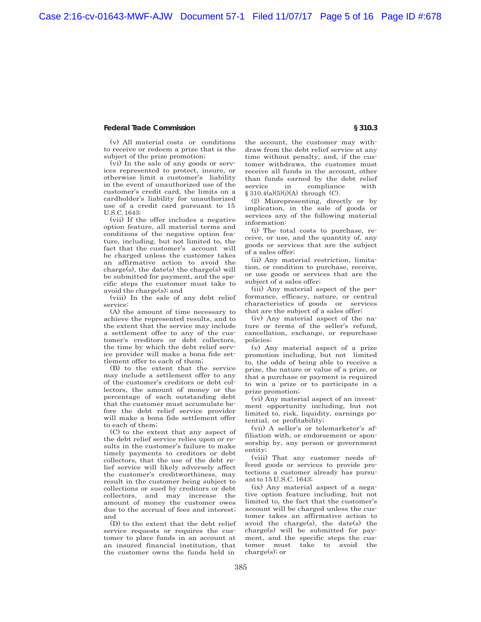(v) All material costs or conditions to receive or redeem a prize that is the subject of the prize promotion;

 use of a credit card pursuant to 15 (vi) In the sale of any goods or services represented to protect, insure, or otherwise limit a customer's liability in the event of unauthorized use of the customer's credit card, the limits on a cardholder's liability for unauthorized U.S.C. 1643;

(vii) If the offer includes a negative option feature, all material terms and conditions of the negative option feature, including, but not limited to, the fact that the customer's account will be charged unless the customer takes an affirmative action to avoid the charge(s), the date(s) the charge(s) will be submitted for payment, and the specific steps the customer must take to avoid the charge(s); and

(viii) In the sale of any debt relief service:

 the time by which the debt relief serv- tlement offer to each of them; (A) the amount of time necessary to achieve the represented results, and to the extent that the service may include a settlement offer to any of the customer's creditors or debt collectors, ice provider will make a bona fide set-

(B) to the extent that the service may include a settlement offer to any of the customer's creditors or debt collectors, the amount of money or the percentage of each outstanding debt that the customer must accumulate before the debt relief service provider will make a bona fide settlement offer to each of them;

(C) to the extent that any aspect of the debt relief service relies upon or results in the customer's failure to make timely payments to creditors or debt collectors, that the use of the debt relief service will likely adversely affect the customer's creditworthiness, may result in the customer being subject to collections or sued by creditors or debt collectors, and may increase the amount of money the customer owes due to the accrual of fees and interest; and

 (D) to the extent that the debt relief service requests or requires the customer to place funds in an account at an insured financial institution, that the customer owns the funds held in

service the account, the customer may withdraw from the debt relief service at any time without penalty, and, if the customer withdraws, the customer must receive all funds in the account, other than funds earned by the debt relief in compliance with  $§ 310.4(a)(5)(i)(A)$  through (C).

 implication, in the sale of goods or (2) Misrepresenting, directly or by services any of the following material information:

(i) The total costs to purchase, receive, or use, and the quantity of, any goods or services that are the subject of a sales offer;

(ii) Any material restriction, limitation, or condition to purchase, receive, or use goods or services that are the subject of a sales offer;

(iii) Any material aspect of the performance, efficacy, nature, or central characteristics of goods or services that are the subject of a sales offer;

(iv) Any material aspect of the nature or terms of the seller's refund, cancellation, exchange, or repurchase policies;

(v) Any material aspect of a prize promotion including, but not limited to, the odds of being able to receive a prize, the nature or value of a prize, or that a purchase or payment is required to win a prize or to participate in a prize promotion;

(vi) Any material aspect of an investment opportunity including, but not limited to, risk, liquidity, earnings potential, or profitability;

(vii) A seller's or telemarketer's affiliation with, or endorsement or sponsorship by, any person or government entity;

 tections a customer already has pursu-(viii) That any customer needs offered goods or services to provide proant to 15 U.S.C. 1643;

 tive option feature including, but not (ix) Any material aspect of a negalimited to, the fact that the customer's account will be charged unless the customer takes an affirmative action to avoid the charge(s), the date(s) the charge(s) will be submitted for payment, and the specific steps the customer must take to avoid the charge(s); or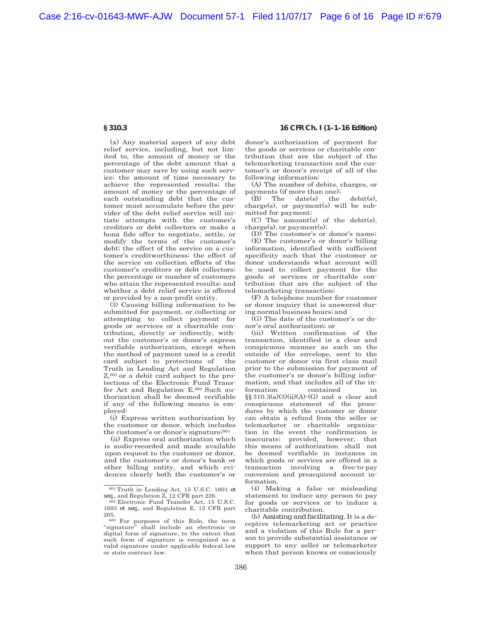**16 CFR Ch. I (1–1–16 Edition)** 

 ited to, the amount of money or the bona fide offer to negotiate, settle, or or provided by a non-profit entity. (x) Any material aspect of any debt relief service, including, but not limpercentage of the debt amount that a customer may save by using such service; the amount of time necessary to achieve the represented results; the amount of money or the percentage of each outstanding debt that the customer must accumulate before the provider of the debt relief service will initiate attempts with the customer's creditors or debt collectors or make a modify the terms of the customer's debt; the effect of the service on a customer's creditworthiness; the effect of the service on collection efforts of the customer's creditors or debt collectors; the percentage or number of customers who attain the represented results; and whether a debt relief service is offered

 card subject to protections of the (3) Causing billing information to be submitted for payment, or collecting or attempting to collect payment for goods or services or a charitable contribution, directly or indirectly, without the customer's or donor's express verifiable authorization, except when the method of payment used is a credit Truth in Lending Act and Regulation Z,661 or a debit card subject to the protections of the Electronic Fund Transfer Act and Regulation E.662 Such authorization shall be deemed verifiable if any of the following means is employed:

(i) Express written authorization by the customer or donor, which includes the customer's or donor's signature;<sup>663</sup>

 other billing entity, and which evi-(ii) Express oral authorization which is audio-recorded and made available upon request to the customer or donor, and the customer's or donor's bank or dences clearly both the customer's or donor's authorization of payment for the goods or services or charitable contribution that are the subject of the telemarketing transaction and the customer's or donor's receipt of all of the following information:

(A) The number of debits, charges, or payments (if more than one);

(B) The date(s) the debit(s), charge(s), or payment(s) will be submitted for payment;

(C) The amount(s) of the debit(s), charge(s), or payment(s);

 (D) The customer's or donor's name; (E) The customer's or donor's billing information, identified with sufficient specificity such that the customer or donor understands what account will be used to collect payment for the goods or services or charitable contribution that are the subject of the telemarketing transaction;

(F) A telephone number for customer or donor inquiry that is answered during normal business hours; and

 $(G)$  The date of the customer's or donor's oral authorization; or

(iii) Written confirmation of the transaction, identified in a clear and conspicuous manner as such on the outside of the envelope, sent to the customer or donor via first class mail prior to the submission for payment of the customer's or donor's billing information, and that includes all of the information contained  $\S$ §310.3(a)(3)(ii)(A)-(G) and a clear and conspicuous statement of the procedures by which the customer or donor can obtain a refund from the seller or telemarketer or charitable organization in the event the confirmation is inaccurate; provided, however, that this means of authorization shall not be deemed verifiable in instances in which goods or services are offered in a transaction involving a free-to-pay conversion and preacquired account information.

(4) Making a false or misleading statement to induce any person to pay for goods or services or to induce a charitable contribution.

(b) *Assisting and facilitating.* It is a deceptive telemarketing act or practice and a violation of this Rule for a person to provide substantial assistance or support to any seller or telemarketer when that person knows or consciously

seq., and Regulation Z, 12 CFR part 226. 661 Truth in Lending Act, 15 U.S.C. 1601 *et* 

<sup>&</sup>lt;sup>2</sup> Electronic Fund Transfer Act, 15 U.S.C. 1693 *et seq.,* and Regulation E, 12 CFR part

<sup>205. 663</sup> For purposes of this Rule, the term "signature" shall include an electronic or digital form of signature, to the extent that such form of signature is recognized as a valid signature under applicable federal law or state contract law.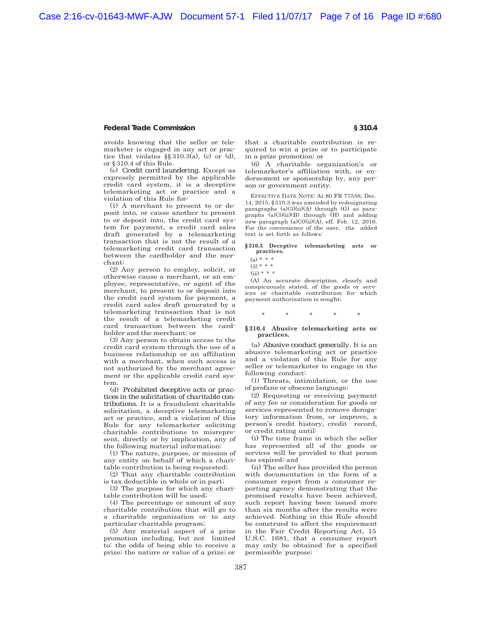avoids knowing that the seller or telemarketer is engaged in any act or practice that violates  $\S$ § 310.3(a), (c) or (d), or § 310.4 of this Rule.

(c) *Credit card laundering.* Except as expressly permitted by the applicable credit card system, it is a deceptive telemarketing act or practice and a violation of this Rule for:

(1) A merchant to present to or deposit into, or cause another to present to or deposit into, the credit card system for payment, a credit card sales draft generated by a telemarketing transaction that is not the result of a telemarketing credit card transaction between the cardholder and the merchant;

 holder and the merchant; or (2) Any person to employ, solicit, or otherwise cause a merchant, or an employee, representative, or agent of the merchant, to present to or deposit into the credit card system for payment, a credit card sales draft generated by a telemarketing transaction that is not the result of a telemarketing credit card transaction between the card-

(3) Any person to obtain access to the credit card system through the use of a business relationship or an affiliation with a merchant, when such access is not authorized by the merchant agreement or the applicable credit card system.

(d) *Prohibited deceptive acts or practices in the solicitation of charitable contributions.* It is a fraudulent charitable solicitation, a deceptive telemarketing act or practice, and a violation of this Rule for any telemarketer soliciting charitable contributions to misrepresent, directly or by implication, any of the following material information:

(1) The nature, purpose, or mission of any entity on behalf of which a charitable contribution is being requested;

 is tax deductible in whole or in part; (2) That any charitable contribution

(3) The purpose for which any charitable contribution will be used;

(4) The percentage or amount of any charitable contribution that will go to a charitable organization or to any particular charitable program;

(5) Any material aspect of a prize promotion including, but not limited to: the odds of being able to receive a prize; the nature or value of a prize; or

that a charitable contribution is required to win a prize or to participate in a prize promotion; or

**§ 310.4** 

(6) A charitable organization's or telemarketer's affiliation with, or endorsement or sponsorship by, any person or government entity.

 For the convenience of the user, the added text is set forth as follows: EFFECTIVE DATE NOTE: At 80 FR 77558, Dec. 14, 2015, § 310.3 was amended by redesignating paragraphs (a)(3)(ii)(A) through (G) as paragraphs (a)(3)(ii)(B) through (H) and adding new paragraph  $(a)(3)(ii)(A)$ , eff. Feb. 12, 2016.

 **§ 310.3 Deceptive telemarketing acts or practices.** 

- $(a) * * *$
- $(3) * * * *$

 $(ii) * * *$ 

(A) An accurate description, clearly and conspicuously stated, of the goods or services or charitable contribution for which payment authorization is sought;

## \* \* \* \* \*

#### **§ 310.4 Abusive telemarketing acts or practices.**

 seller or telemarketer to engage in the (a) *Abusive conduct generally.* It is an abusive telemarketing act or practice and a violation of this Rule for any following conduct:

(1) Threats, intimidation, or the use of profane or obscene language;

(2) Requesting or receiving payment of any fee or consideration for goods or services represented to remove derogatory information from, or improve, a person's credit history, credit record, or credit rating until:

(i) The time frame in which the seller has represented all of the goods or services will be provided to that person has expired; and

 may only be obtained for a specified (ii) The seller has provided the person with documentation in the form of a consumer report from a consumer reporting agency demonstrating that the promised results have been achieved, such report having been issued more than six months after the results were achieved. Nothing in this Rule should be construed to affect the requirement in the Fair Credit Reporting Act, 15 U.S.C. 1681, that a consumer report permissible purpose;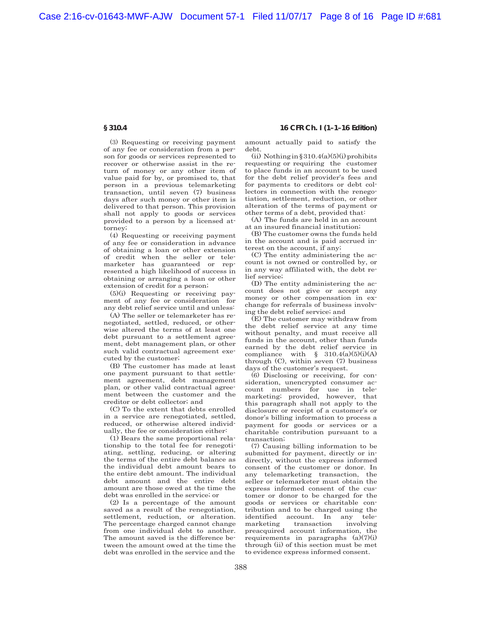**16 CFR Ch. I (1–1–16 Edition)** 

(3) Requesting or receiving payment of any fee or consideration from a person for goods or services represented to recover or otherwise assist in the return of money or any other item of value paid for by, or promised to, that person in a previous telemarketing transaction, until seven (7) business days after such money or other item is delivered to that person. This provision shall not apply to goods or services provided to a person by a licensed attorney;

 of credit when the seller or tele- obtaining or arranging a loan or other (4) Requesting or receiving payment of any fee or consideration in advance of obtaining a loan or other extension marketer has guaranteed or represented a high likelihood of success in extension of credit for a person;

(5)(i) Requesting or receiving payment of any fee or consideration for any debt relief service until and unless:

 negotiated, settled, reduced, or other- ment, debt management plan, or other (A) The seller or telemarketer has rewise altered the terms of at least one debt pursuant to a settlement agreesuch valid contractual agreement executed by the customer;

 one payment pursuant to that settle- ment agreement, debt management (B) The customer has made at least plan, or other valid contractual agreement between the customer and the creditor or debt collector; and

(C) To the extent that debts enrolled in a service are renegotiated, settled, reduced, or otherwise altered individually, the fee or consideration either:

(1) Bears the same proportional relationship to the total fee for renegotiating, settling, reducing, or altering the terms of the entire debt balance as the individual debt amount bears to the entire debt amount. The individual debt amount and the entire debt amount are those owed at the time the debt was enrolled in the service; or

(2) Is a percentage of the amount saved as a result of the renegotiation, settlement, reduction, or alteration. The percentage charged cannot change from one individual debt to another. The amount saved is the difference between the amount owed at the time the debt was enrolled in the service and the

 amount actually paid to satisfy the debt.

 requesting or requiring the customer alteration of the terms of payment or (ii) Nothing in  $§ 310.4(a)(5)(i)$  prohibits to place funds in an account to be used for the debt relief provider's fees and for payments to creditors or debt collectors in connection with the renegotiation, settlement, reduction, or other other terms of a debt, provided that:

(A) The funds are held in an account at an insured financial institution;

(B) The customer owns the funds held in the account and is paid accrued interest on the account, if any;

 count is not owned or controlled by, or (C) The entity administering the acin any way affiliated with, the debt relief service;

(D) The entity administering the account does not give or accept any money or other compensation in exchange for referrals of business involving the debt relief service; and

 $\overline{E}$ ) The customer may withdraw from the debt relief service at any time without penalty, and must receive all funds in the account, other than funds earned by the debt relief service in compliance with  $\S$  310.4(a)(5)(i)(A) through (C), within seven (7) business days of the customer's request.

(6) Disclosing or receiving, for consideration, unencrypted consumer account numbers for use in telemarketing; provided, however, that this paragraph shall not apply to the disclosure or receipt of a customer's or donor's billing information to process a payment for goods or services or a charitable contribution pursuant to a transaction;

 submitted for payment, directly or in-(7) Causing billing information to be directly, without the express informed consent of the customer or donor. In any telemarketing transaction, the seller or telemarketer must obtain the express informed consent of the customer or donor to be charged for the goods or services or charitable contribution and to be charged using the identified account. In any telemarketing transaction involving preacquired account information, the requirements in paragraphs  $(a)(7)(i)$ through (ii) of this section must be met to evidence express informed consent.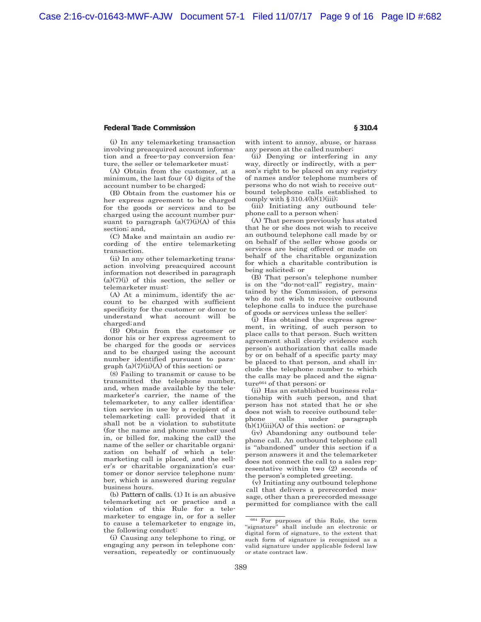(i) In any telemarketing transaction involving preacquired account information and a free-to-pay conversion feature, the seller or telemarketer must:

(A) Obtain from the customer, at a minimum, the last four (4) digits of the account number to be charged;

(B) Obtain from the customer his or her express agreement to be charged for the goods or services and to be charged using the account number pursuant to paragraph  $(a)(7)(i)(A)$  of this section; and,

(C) Make and maintain an audio recording of the entire telemarketing transaction.

(ii) In any other telemarketing transaction involving preacquired account information not described in paragraph (a)(7)(i) of this section, the seller or telemarketer must:

 count to be charged with sufficient (A) At a minimum, identify the acspecificity for the customer or donor to understand what account will be charged; and

(B) Obtain from the customer or donor his or her express agreement to be charged for the goods or services and to be charged using the account number identified pursuant to paragraph  $(a)(7)(ii)(A)$  of this section; or

(8) Failing to transmit or cause to be transmitted the telephone number, and, when made available by the telemarketer's carrier, the name of the telemarketer, to any caller identification service in use by a recipient of a telemarketing call; provided that it shall not be a violation to substitute (for the name and phone number used in, or billed for, making the call) the name of the seller or charitable organization on behalf of which a telemarketing call is placed, and the seller's or charitable organization's customer or donor service telephone number, which is answered during regular business hours.

(b) *Pattern of calls.* (1) It is an abusive telemarketing act or practice and a violation of this Rule for a telemarketer to engage in, or for a seller to cause a telemarketer to engage in, the following conduct:

 versation, repeatedly or continuously (i) Causing any telephone to ring, or engaging any person in telephone conwith intent to annoy, abuse, or harass any person at the called number;

(ii) Denying or interfering in any way, directly or indirectly, with a person's right to be placed on any registry of names and/or telephone numbers of persons who do not wish to receive outbound telephone calls established to comply with  $§ 310.4(b)(1)(iii);$ 

(iii) Initiating any outbound telephone call to a person when:

(A) That person previously has stated that he or she does not wish to receive an outbound telephone call made by or on behalf of the seller whose goods or services are being offered or made on behalf of the charitable organization for which a charitable contribution is being solicited; or

 who do not wish to receive outbound of goods or services unless the seller: (B) That person's telephone number is on the "do-not-call" registry, maintained by the Commission, of persons telephone calls to induce the purchase

 place calls to that person. Such written (i) Has obtained the express agreement, in writing, of such person to agreement shall clearly evidence such person's authorization that calls made by or on behalf of a specific party may be placed to that person, and shall include the telephone number to which the calls may be placed and the signature664 of that person; or

 does not wish to receive outbound tele-(ii) Has an established business relationship with such person, and that person has not stated that he or she phone calls under paragraph  $(b)(1)(iii)(A)$  of this section; or

(iv) Abandoning any outbound telephone call. An outbound telephone call is ''abandoned'' under this section if a person answers it and the telemarketer does not connect the call to a sales representative within two (2) seconds of the person's completed greeting.

(v) Initiating any outbound telephone call that delivers a prerecorded message, other than a prerecorded message permitted for compliance with the call

 such form of signature is recognized as a 664 For purposes of this Rule, the term ''signature'' shall include an electronic or digital form of signature, to the extent that valid signature under applicable federal law or state contract law.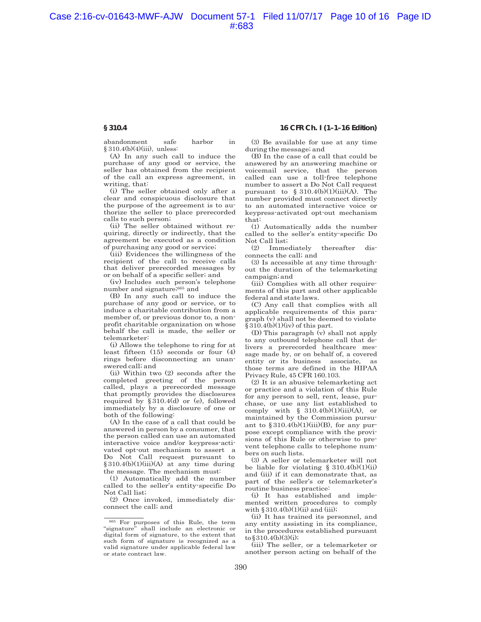Case 2:16-cv-01643-MWF-AJW Document 57-1 Filed 11/07/17 Page 10 of 16 Page ID #:683

# **§ 310.4**

abandonment safe harbor in § 310.4(b)(4)(iii), unless:

(A) In any such call to induce the purchase of any good or service, the seller has obtained from the recipient of the call an express agreement, in writing, that:

(i) The seller obtained only after a clear and conspicuous disclosure that the purpose of the agreement is to authorize the seller to place prerecorded calls to such person;

 of purchasing any good or service; (ii) The seller obtained without requiring, directly or indirectly, that the agreement be executed as a condition

(iii) Evidences the willingness of the recipient of the call to receive calls that deliver prerecorded messages by or on behalf of a specific seller; and

(iv) Includes such person's telephone number and signature;665 and

 purchase of any good or service, or to (B) In any such call to induce the induce a charitable contribution from a member of, or previous donor to, a nonprofit charitable organization on whose behalf the call is made, the seller or telemarketer:

(i) Allows the telephone to ring for at least fifteen (15) seconds or four (4) rings before disconnecting an unanswered call; and

(ii) Within two (2) seconds after the completed greeting of the person called, plays a prerecorded message that promptly provides the disclosures required by § 310.4(d) or (e), followed immediately by a disclosure of one or both of the following:

 Do Not Call request pursuant to (A) In the case of a call that could be answered in person by a consumer, that the person called can use an automated interactive voice and/or keypress-activated opt-out mechanism to assert a  $§ 310.4(b)(1)(iii)(A)$  at any time during the message. The mechanism must:

(1) Automatically add the number called to the seller's entity-specific Do Not Call list;

(2) Once invoked, immediately disconnect the call; and

(3) Be available for use at any time during the message; and

**16 CFR Ch. I (1–1–16 Edition)** 

(B) In the case of a call that could be answered by an answering machine or voicemail service, that the person called can use a toll-free telephone number to assert a Do Not Call request pursuant to  $\S$  310.4(b)(1)(iii)(A). The number provided must connect directly to an automated interactive voice or keypress-activated opt-out mechanism that:

(1) Automatically adds the number called to the seller's entity-specific Do Not Call list;

(2) Immediately thereafter disconnects the call; and

(3) Is accessible at any time throughout the duration of the telemarketing campaign; and

(iii) Complies with all other requirements of this part and other applicable federal and state laws.

(C) Any call that complies with all applicable requirements of this paragraph (v) shall not be deemed to violate  $§ 310.4(b)(1)(iv)$  of this part.

(D) This paragraph (v) shall not apply to any outbound telephone call that delivers a prerecorded healthcare message made by, or on behalf of, a covered entity or its business associate, as those terms are defined in the HIPAA Privacy Rule, 45 CFR 160.103.

(2) It is an abusive telemarketing act or practice and a violation of this Rule for any person to sell, rent, lease, purchase, or use any list established to comply with §  $310.4(b)(1)(iii)(A)$ , or maintained by the Commission pursuant to  $$310.4(b)(1)(iii)(B)$ , for any purpose except compliance with the provisions of this Rule or otherwise to prevent telephone calls to telephone numbers on such lists.

(3) A seller or telemarketer will not be liable for violating  $\S 310.4(b)(1)(ii)$ and (iii) if it can demonstrate that, as part of the seller's or telemarketer's routine business practice:

(i) It has established and implemented written procedures to comply with  $§ 310.4(b)(1)(ii)$  and (iii);

(ii) It has trained its personnel, and any entity assisting in its compliance, in the procedures established pursuant to  $$310,4(b)(3)(i);$ 

(iii) The seller, or a telemarketer or another person acting on behalf of the

<sup>665</sup> For purposes of this Rule, the term ''signature'' shall include an electronic or digital form of signature, to the extent that such form of signature is recognized as a valid signature under applicable federal law or state contract law.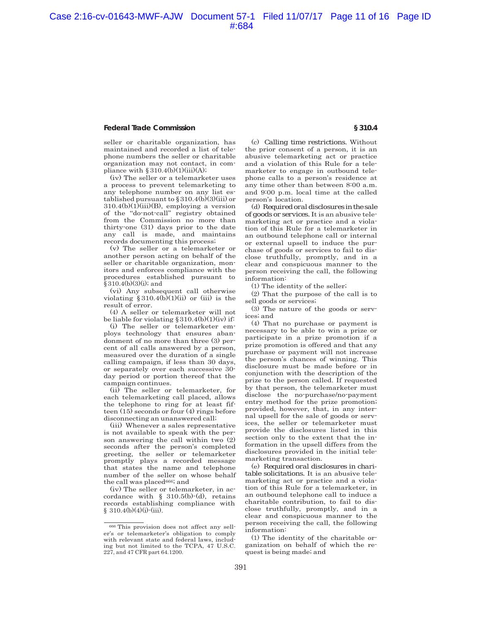Case 2:16-cv-01643-MWF-AJW Document 57-1 Filed 11/07/17 Page 11 of 16 Page ID #:684

#### **Federal Trade Commission**

seller or charitable organization, has maintained and recorded a list of telephone numbers the seller or charitable organization may not contact, in compliance with  $§ 310.4(b)(1)(iii)(A);$ 

(iv) The seller or a telemarketer uses a process to prevent telemarketing to any telephone number on any list established pursuant to  $\S 310.4(b)(3)(iii)$  or 310.4(b)(1)(iii)(B), employing a version of the ''do-not-call'' registry obtained from the Commission no more than thirty-one (31) days prior to the date any call is made, and maintains records documenting this process;

 procedures established pursuant to (v) The seller or a telemarketer or another person acting on behalf of the seller or charitable organization, monitors and enforces compliance with the  $\frac{1}{8}$  310.4(b)(3)(i); and

(vi) Any subsequent call otherwise violating  $§ 310.4(b)(1)(ii)$  or (iii) is the result of error.

(4) A seller or telemarketer will not be liable for violating  $§ 310.4(b)(1)(iv)$  if:

(i) The seller or telemarketer employs technology that ensures abandonment of no more than three (3) percent of all calls answered by a person, measured over the duration of a single calling campaign, if less than 30 days, or separately over each successive 30 day period or portion thereof that the campaign continues.

(ii) The seller or telemarketer, for each telemarketing call placed, allows the telephone to ring for at least fifteen  $(15)$  seconds or four  $(4)$  rings before disconnecting an unanswered call;

(iii) Whenever a sales representative is not available to speak with the person answering the call within two (2) seconds after the person's completed greeting, the seller or telemarketer promptly plays a recorded message that states the name and telephone number of the seller on whose behalf the call was placed<sup>666</sup>; and

 records establishing compliance with (iv) The seller or telemarketer, in accordance with  $\S$  310.5(b)-(d), retains  $§ 310.4(b)(4)(i)-(iii).$ 

(c) *Calling time restrictions.* Without the prior consent of a person, it is an abusive telemarketing act or practice and a violation of this Rule for a telemarketer to engage in outbound telephone calls to a person's residence at any time other than between 8:00 a.m. and 9:00 p.m. local time at the called person's location.

(d) *Required oral disclosures in the sale of goods or services.* It is an abusive telemarketing act or practice and a violation of this Rule for a telemarketer in an outbound telephone call or internal or external upsell to induce the purchase of goods or services to fail to disclose truthfully, promptly, and in a clear and conspicuous manner to the person receiving the call, the following information:

(1) The identity of the seller;

(2) That the purpose of the call is to sell goods or services;

(3) The nature of the goods or services; and

 section only to the extent that the in-(4) That no purchase or payment is necessary to be able to win a prize or participate in a prize promotion if a prize promotion is offered and that any purchase or payment will not increase the person's chances of winning. This disclosure must be made before or in conjunction with the description of the prize to the person called. If requested by that person, the telemarketer must disclose the no-purchase/no-payment entry method for the prize promotion; provided, however, that, in any internal upsell for the sale of goods or services, the seller or telemarketer must provide the disclosures listed in this formation in the upsell differs from the disclosures provided in the initial telemarketing transaction.

(e) *Required oral disclosures in charitable solicitations.* It is an abusive telemarketing act or practice and a violation of this Rule for a telemarketer, in an outbound telephone call to induce a charitable contribution, to fail to disclose truthfully, promptly, and in a clear and conspicuous manner to the person receiving the call, the following information:

(1) The identity of the charitable organization on behalf of which the request is being made; and

# **§ 310.4**

<sup>666</sup> This provision does not affect any seller's or telemarketer's obligation to comply with relevant state and federal laws, includ-ing but not limited to the TCPA, 47 U.S.C. 227, and 47 CFR part 64.1200.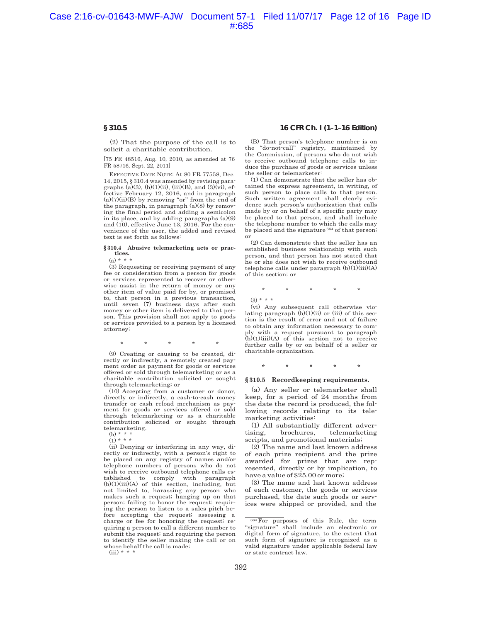Case 2:16-cv-01643-MWF-AJW Document 57-1 Filed 11/07/17 Page 12 of 16 Page ID #:685

## **§ 310.5**

(2) That the purpose of the call is to solicit a charitable contribution.

[75 FR 48516, Aug. 10, 2010, as amended at 76 FR 58716, Sept. 22, 2011]

EFFECTIVE DATE NOTE: At 80 FR 77558, Dec. 14, 2015, § 310.4 was amended by revising paragraphs (a)(3), (b)(1)(ii), (iii)(B), and (3)(vi), effective February 12, 2016, and in paragraph  $(a)(7)(ii)(B)$  by removing "or" from the end of the paragraph, in paragraph (a)(8) by removing the final period and adding a semicolon in its place, and by adding paragraphs (a)(9) and (10), effective June 13, 2016. For the convenience of the user, the added and revised text is set forth as follows:

 **§ 310.4 Abusive telemarketing acts or prac- tices.** 

 $(a) * * *$ 

(3) Requesting or receiving payment of any fee or consideration from a person for goods or services represented to recover or otherwise assist in the return of money or any other item of value paid for by, or promised to, that person in a previous transaction, until seven (7) business days after such money or other item is delivered to that person. This provision shall not apply to goods or services provided to a person by a licensed attorney;

\* \* \* \* \*

(9) Creating or causing to be created, directly or indirectly, a remotely created payment order as payment for goods or services offered or sold through telemarketing or as a charitable contribution solicited or sought through telemarketing; or

(10) Accepting from a customer or donor, directly or indirectly, a cash-to-cash money transfer or cash reload mechanism as payment for goods or services offered or sold through telemarketing or as a charitable contribution solicited or sought through telemarketing.

 $(b) * * * *$ <br>(1) \* \* \*

 (ii) Denying or interfering in any way, di- fore accepting the request; assessing a rectly or indirectly, with a person's right to be placed on any registry of names and/or telephone numbers of persons who do not wish to receive outbound telephone calls established to comply with paragraph (b)(1)(iii)(A) of this section, including, but not limited to, harassing any person who makes such a request; hanging up on that person; failing to honor the request; requiring the person to listen to a sales pitch becharge or fee for honoring the request; requiring a person to call a different number to submit the request; and requiring the person to identify the seller making the call or on whose behalf the call is made;  $(iii)$  \*

**16 CFR Ch. I (1–1–16 Edition)** 

(B) That person's telephone number is on the ''do-not-call'' registry, maintained by the Commission, of persons who do not wish to receive outbound telephone calls to induce the purchase of goods or services unless the seller or telemarketer:

(1) Can demonstrate that the seller has obtained the express agreement, in writing, of such person to place calls to that person. Such written agreement shall clearly evidence such person's authorization that calls made by or on behalf of a specific party may be placed to that person, and shall include the telephone number to which the calls may be placed and the signature 664 of that person; or

(2) Can demonstrate that the seller has an established business relationship with such person, and that person has not stated that he or she does not wish to receive outbound telephone calls under paragraph (b)(1)(iii)(A) of this section; or

\* \* \* \* \*

 $(3) * * * *$ 

(vi) Any subsequent call otherwise violating paragraph  $(b)(1)(ii)$  or  $(iii)$  of this section is the result of error and not of failure to obtain any information necessary to comply with a request pursuant to paragraph (b)(1)(iii)(A) of this section not to receive further calls by or on behalf of a seller or charitable organization.

\* \* \* \* \*

#### **§ 310.5 Recordkeeping requirements.**

(a) Any seller or telemarketer shall keep, for a period of 24 months from the date the record is produced, the following records relating to its telemarketing activities:

(1) All substantially different adver-<br>tising, brochures, telemarketing brochures, telemarketing scripts, and promotional materials;

 of each prize recipient and the prize (2) The name and last known address awarded for prizes that are represented, directly or by implication, to have a value of \$25.00 or more;

(3) The name and last known address of each customer, the goods or services purchased, the date such goods or services were shipped or provided, and the

 664 For purposes of this Rule, the term such form of signature is recognized as a ''signature'' shall include an electronic or digital form of signature, to the extent that valid signature under applicable federal law or state contract law.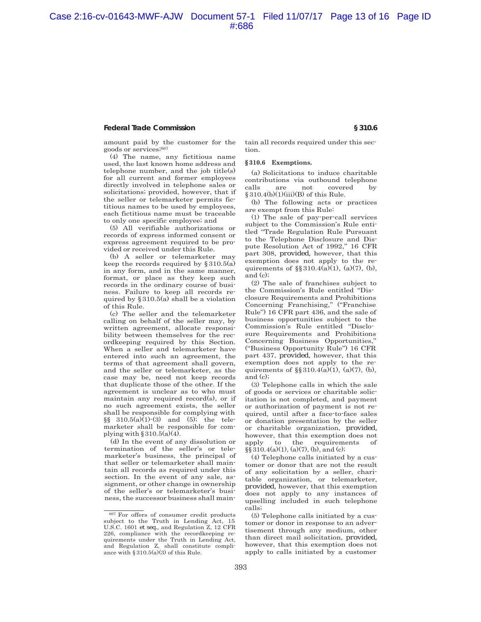Case 2:16-cv-01643-MWF-AJW Document 57-1 Filed 11/07/17 Page 13 of 16 Page ID #:686

## **Federal Trade Commission**

amount paid by the customer for the goods or services;<sup>667</sup>

(4) The name, any fictitious name used, the last known home address and telephone number, and the job title(s) for all current and former employees directly involved in telephone sales or solicitations; provided, however, that if the seller or telemarketer permits fictitious names to be used by employees, each fictitious name must be traceable to only one specific employee; and

(5) All verifiable authorizations or records of express informed consent or express agreement required to be provided or received under this Rule.

 format, or place as they keep such (b) A seller or telemarketer may keep the records required by  $§ 310.5(a)$ in any form, and in the same manner, records in the ordinary course of business. Failure to keep all records required by § 310.5(a) shall be a violation of this Rule.

 that duplicate those of the other. If the (c) The seller and the telemarketer calling on behalf of the seller may, by written agreement, allocate responsibility between themselves for the recordkeeping required by this Section. When a seller and telemarketer have entered into such an agreement, the terms of that agreement shall govern, and the seller or telemarketer, as the case may be, need not keep records agreement is unclear as to who must maintain any required record(s), or if no such agreement exists, the seller shall be responsible for complying with §§ 310.5(a)(1)-(3) and (5); the telemarketer shall be responsible for complying with  $\S 310.5(a)(4)$ .

 termination of the seller's or tele- marketer's business, the principal of section. In the event of any sale, as- of the seller's or telemarketer's busi-(d) In the event of any dissolution or that seller or telemarketer shall maintain all records as required under this signment, or other change in ownership ness, the successor business shall maintain all records required under this section.

#### **§ 310.6 Exemptions.**

(a) Solicitations to induce charitable contributions via outbound telephone calls are not covered by  $§ 310.4(b)(1)(iii)(B)$  of this Rule.

(b) The following acts or practices are exempt from this Rule:

(1) The sale of pay-per-call services subject to the Commission's Rule entitled ''Trade Regulation Rule Pursuant to the Telephone Disclosure and Dispute Resolution Act of 1992,'' 16 CFR part 308, *provided,* however, that this exemption does not apply to the requirements of  $\S$ § 310.4(a)(1), (a)(7), (b), and  $(c)$ ;

 (2) The sale of franchises subject to the Commission's Rule entitled ''Dis-Concerning Franchising," ("Franchise Rule'') 16 CFR part 436, and the sale of business opportunities subject to the Commission's Rule entitled ''Disclo- sure Requirements and Prohibitions Concerning Business Opportunities,'' closure Requirements and Prohibitions (''Business Opportunity Rule'') 16 CFR part 437, *provided,* however, that this exemption does not apply to the requirements of  $\S$ § 310.4(a)(1), (a)(7), (b), and (c);

 apply to the requirements of (3) Telephone calls in which the sale of goods or services or charitable solicitation is not completed, and payment or authorization of payment is not required, until after a face-to-face sales or donation presentation by the seller or charitable organization, *provided,* however, that this exemption does not  $\S$ § 310.4(a)(1), (a)(7), (b), and (c);

(4) Telephone calls initiated by a customer or donor that are not the result of any solicitation by a seller, charitable organization, or telemarketer, *provided,* however, that this exemption does not apply to any instances of upselling included in such telephone calls;

(5) Telephone calls initiated by a customer or donor in response to an advertisement through any medium, other than direct mail solicitation, *provided,* however, that this exemption does not apply to calls initiated by a customer

393

## **§ 310.6**

 subject to the Truth in Lending Act, 15 226, compliance with the recordkeeping re- and Regulation Z, shall constitute compli-ance with § 310.5(a)(3) of this Rule. 667 For offers of consumer credit products U.S.C. 1601 *et seq.,* and Regulation Z, 12 CFR quirements under the Truth in Lending Act,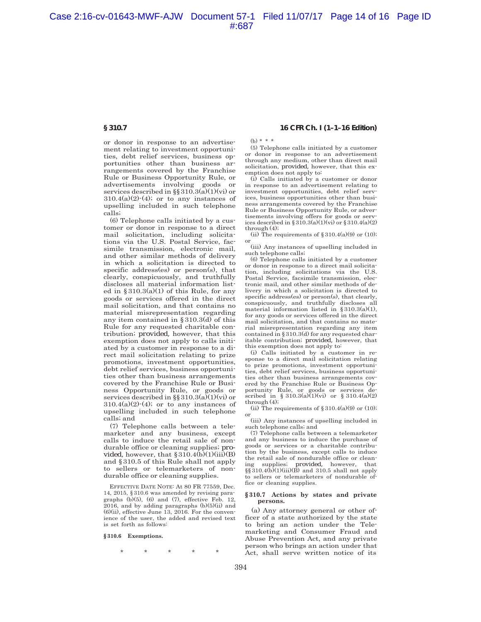Case 2:16-cv-01643-MWF-AJW Document 57-1 Filed 11/07/17 Page 14 of 16 Page ID #:687

# **§ 310.7**

or donor in response to an advertisement relating to investment opportunities, debt relief services, business opportunities other than business arrangements covered by the Franchise Rule or Business Opportunity Rule, or advertisements involving goods or services described in §§ 310.3(a)(1)(vi) or  $310.4(a)(2)-(4)$ ; or to any instances of upselling included in such telephone calls;

(6) Telephone calls initiated by a customer or donor in response to a direct mail solicitation, including solicitations via the U.S. Postal Service, facsimile transmission, electronic mail, and other similar methods of delivery in which a solicitation is directed to specific address(es) or person(s), that clearly, conspicuously, and truthfully discloses all material information listed in § 310.3(a)(1) of this Rule, for any goods or services offered in the direct mail solicitation, and that contains no material misrepresentation regarding any item contained in § 310.3(d) of this Rule for any requested charitable contribution; *provided,* however, that this exemption does not apply to calls initiated by a customer in response to a direct mail solicitation relating to prize promotions, investment opportunities, debt relief services, business opportunities other than business arrangements covered by the Franchise Rule or Business Opportunity Rule, or goods or services described in  $\S$ § 310.3(a)(1)(vi) or  $310.4(a)(2)-(4)$ ; or to any instances of upselling included in such telephone calls; and

 durable office or cleaning supplies. (7) Telephone calls between a telemarketer and any business, except calls to induce the retail sale of nondurable office or cleaning supplies; *provided,* however, that  $\S 310.4(b)(1)(iii)(B)$ and § 310.5 of this Rule shall not apply to sellers or telemarketers of non-

 2016, and by adding paragraphs (b)(5)(ii) and EFFECTIVE DATE NOTE: At 80 FR 77559, Dec. 14, 2015, § 310.6 was amended by revising paragraphs  $(b)(5)$ ,  $(6)$  and  $(7)$ , effective Feb. 12,  $(6)(ii)$ , effective June 13, 2016. For the convenience of the user, the added and revised text is set forth as follows:

#### **§ 310.6 Exemptions.**

\* \* \* \* \*

# **16 CFR Ch. I (1–1–16 Edition)**

 $(b) * * * *$ 

 through any medium, other than direct mail (5) Telephone calls initiated by a customer or donor in response to an advertisement solicitation, *provided,* however, that this exemption does not apply to:

 ices described in § 310.3(a)(1)(vi) or § 310.4(a)(2) (i) Calls initiated by a customer or donor in response to an advertisement relating to investment opportunities, debt relief services, business opportunities other than business arrangements covered by the Franchise Rule or Business Opportunity Rule, or advertisements involving offers for goods or servthrough (4);

(ii) The requirements of  $\S 310.4(a)(9)$  or (10); or

(iii) Any instances of upselling included in such telephone calls;

(6) Telephone calls initiated by a customer or donor in response to a direct mail solicitation, including solicitations via the U.S. Postal Service, facsimile transmission, electronic mail, and other similar methods of delivery in which a solicitation is directed to specific address(es) or person(s), that clearly, conspicuously, and truthfully discloses all material information listed in § 310.3(a)(1), for any goods or services offered in the direct mail solicitation, and that contains no material misrepresentation regarding any item contained in § 310.3(d) for any requested charitable contribution; *provided,* however, that this exemption does not apply to:

(i) Calls initiated by a customer in response to a direct mail solicitation relating to prize promotions, investment opportunities, debt relief services, business opportunities other than business arrangements covered by the Franchise Rule or Business Opportunity Rule, or goods or services described in § 310.3(a)(1)(vi) or § 310.4(a)(2) through (4);

(ii) The requirements of  $\S 310.4(a)(9)$  or (10); or

(iii) Any instances of upselling included in such telephone calls; and

 ing supplies; *provided,* however, that (7) Telephone calls between a telemarketer and any business to induce the purchase of goods or services or a charitable contribution by the business, except calls to induce the retail sale of nondurable office or clean- $\S$ § 310.4(b)(1)(iii)(B) and 310.5 shall not apply to sellers or telemarketers of nondurable office or cleaning supplies.

#### **§ 310.7 Actions by states and private persons.**

 Act, shall serve written notice of its (a) Any attorney general or other officer of a state authorized by the state to bring an action under the Telemarketing and Consumer Fraud and Abuse Prevention Act, and any private person who brings an action under that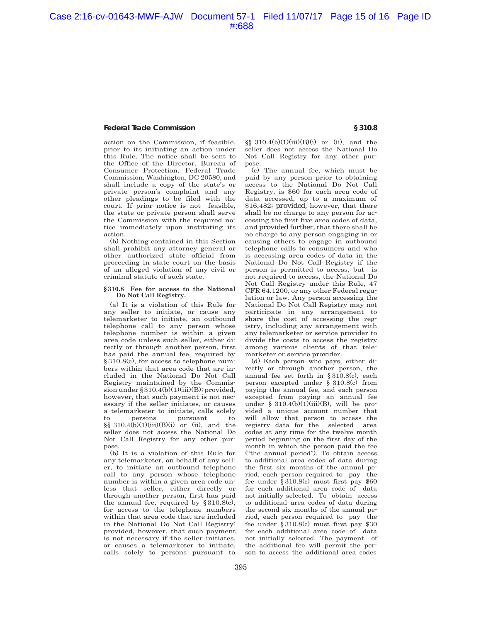Case 2:16-cv-01643-MWF-AJW Document 57-1 Filed 11/07/17 Page 15 of 16 Page ID #:688

#### **Federal Trade Commission**

action on the Commission, if feasible, prior to its initiating an action under this Rule. The notice shall be sent to the Office of the Director, Bureau of Consumer Protection, Federal Trade Commission, Washington, DC 20580, and shall include a copy of the state's or private person's complaint and any other pleadings to be filed with the court. If prior notice is not feasible, the state or private person shall serve the Commission with the required notice immediately upon instituting its action.

(b) Nothing contained in this Section shall prohibit any attorney general or other authorized state official from proceeding in state court on the basis of an alleged violation of any civil or criminal statute of such state.

# **§ 310.8 Fee for access to the National Do Not Call Registry.**

(a) It is a violation of this Rule for any seller to initiate, or cause any telemarketer to initiate, an outbound telephone call to any person whose telephone number is within a given area code unless such seller, either directly or through another person, first has paid the annual fee, required by § 310.8(c), for access to telephone numbers within that area code that are included in the National Do Not Call Registry maintained by the Commission under  $§ 310.4(b)(1)(iii)(B)$ ; provided, however, that such payment is not necessary if the seller initiates, or causes a telemarketer to initiate, calls solely<br>to persons nursuant to to persons pursuant to  $\S\S 310.4(b)(1)(iii)(B)(i)$  or (ii), and the seller does not access the National Do Not Call Registry for any other purpose.

 calls solely to persons pursuant to (b) It is a violation of this Rule for any telemarketer, on behalf of any seller, to initiate an outbound telephone call to any person whose telephone number is within a given area code unless that seller, either directly or through another person, first has paid the annual fee, required by  $$310.8(c)$ , for access to the telephone numbers within that area code that are included in the National Do Not Call Registry; provided, however, that such payment is not necessary if the seller initiates, or causes a telemarketer to initiate,

§§ 310.4(b)(1)(iii)(B)(i) or (ii), and the seller does not access the National Do Not Call Registry for any other purpose.

 data accessed, up to a maximum of causing others to engage in outbound (c) The annual fee, which must be paid by any person prior to obtaining access to the National Do Not Call Registry, is \$60 for each area code of \$16,482; *provided,* however, that there shall be no charge to any person for accessing the first five area codes of data, and *provided further,* that there shall be no charge to any person engaging in or telephone calls to consumers and who is accessing area codes of data in the National Do Not Call Registry if the person is permitted to access, but is not required to access, the National Do Not Call Registry under this Rule, 47 CFR 64.1200, or any other Federal regulation or law. Any person accessing the National Do Not Call Registry may not participate in any arrangement to share the cost of accessing the registry, including any arrangement with any telemarketer or service provider to divide the costs to access the registry among various clients of that telemarketer or service provider.

 annual fee set forth in § 310.8(c), each registry data for the selected area riod, each person required to pay the riod, each person required to pay the (d) Each person who pays, either directly or through another person, the person excepted under § 310.8(c) from paying the annual fee, and each person excepted from paying an annual fee under §  $310.4(b)(1)(iii)(B)$ , will be provided a unique account number that will allow that person to access the codes at any time for the twelve month period beginning on the first day of the month in which the person paid the fee (''the annual period''). To obtain access to additional area codes of data during the first six months of the annual pefee under § 310.8(c) must first pay \$60 for each additional area code of data not initially selected. To obtain access to additional area codes of data during the second six months of the annual pefee under § 310.8(c) must first pay \$30 for each additional area code of data not initially selected. The payment of the additional fee will permit the person to access the additional area codes